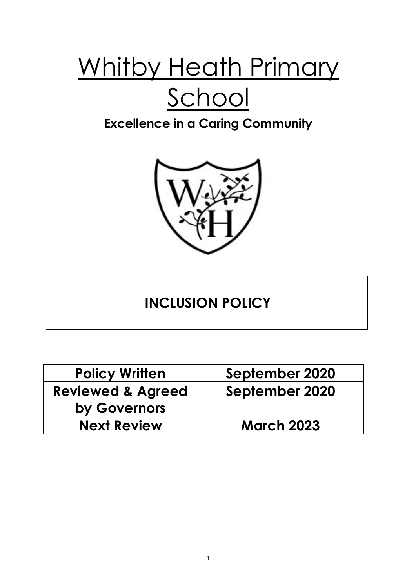# Whitby Heath Primary School

### **Excellence in a Caring Community**



## **INCLUSION POLICY**

| <b>Policy Written</b>        | September 2020    |
|------------------------------|-------------------|
| <b>Reviewed &amp; Agreed</b> | September 2020    |
| by Governors                 |                   |
| <b>Next Review</b>           | <b>March 2023</b> |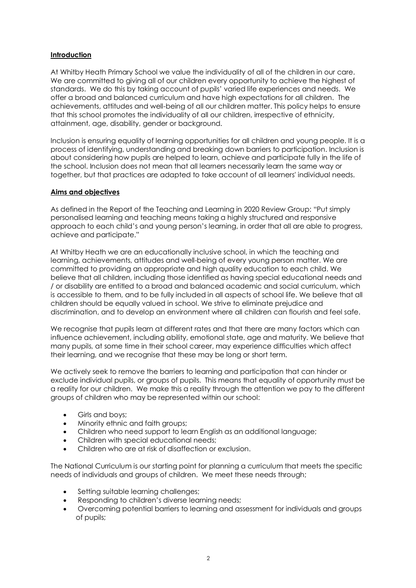#### **Introduction**

At Whitby Heath Primary School we value the individuality of all of the children in our care. We are committed to giving all of our children every opportunity to achieve the highest of standards. We do this by taking account of pupils' varied life experiences and needs. We offer a broad and balanced curriculum and have high expectations for all children. The achievements, attitudes and well-being of all our children matter. This policy helps to ensure that this school promotes the individuality of all our children, irrespective of ethnicity, attainment, age, disability, gender or background.

Inclusion is ensuring equality of learning opportunities for all children and young people. It is a process of identifying, understanding and breaking down barriers to participation. Inclusion is about considering how pupils are helped to learn, achieve and participate fully in the life of the school. Inclusion does not mean that all learners necessarily learn the same way or together, but that practices are adapted to take account of all learners' individual needs.

#### **Aims and objectives**

As defined in the Report of the Teaching and Learning in 2020 Review Group: "Put simply personalised learning and teaching means taking a highly structured and responsive approach to each child's and young person's learning, in order that all are able to progress, achieve and participate."

At Whitby Heath we are an educationally inclusive school, in which the teaching and learning, achievements, attitudes and well-being of every young person matter. We are committed to providing an appropriate and high quality education to each child. We believe that all children, including those identified as having special educational needs and / or disability are entitled to a broad and balanced academic and social curriculum, which is accessible to them, and to be fully included in all aspects of school life. We believe that all children should be equally valued in school. We strive to eliminate prejudice and discrimination, and to develop an environment where all children can flourish and feel safe.

We recognise that pupils learn at different rates and that there are many factors which can influence achievement, including ability, emotional state, age and maturity. We believe that many pupils, at some time in their school career, may experience difficulties which affect their learning, and we recognise that these may be long or short term.

We actively seek to remove the barriers to learning and participation that can hinder or exclude individual pupils, or groups of pupils. This means that equality of opportunity must be a reality for our children. We make this a reality through the attention we pay to the different groups of children who may be represented within our school:

- Girls and boys;
- Minority ethnic and faith groups;
- Children who need support to learn English as an additional language;
- Children with special educational needs:
- Children who are at risk of disaffection or exclusion.

The National Curriculum is our starting point for planning a curriculum that meets the specific needs of individuals and groups of children. We meet these needs through;

- Setting suitable learning challenges;
- Responding to children's diverse learning needs;
- Overcoming potential barriers to learning and assessment for individuals and groups of pupils;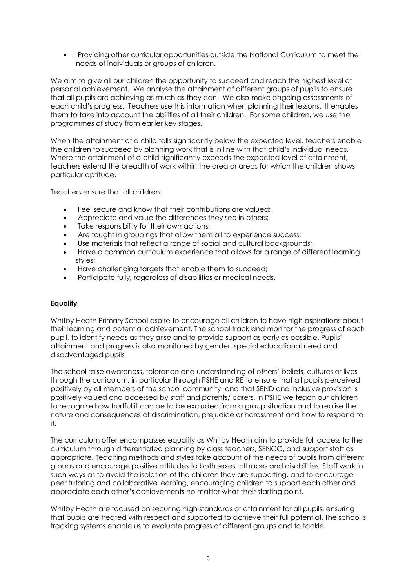• Providing other curricular opportunities outside the National Curriculum to meet the needs of individuals or groups of children.

We aim to give all our children the opportunity to succeed and reach the highest level of personal achievement. We analyse the attainment of different groups of pupils to ensure that all pupils are achieving as much as they can. We also make ongoing assessments of each child's progress. Teachers use this information when planning their lessons. It enables them to take into account the abilities of all their children. For some children, we use the programmes of study from earlier key stages.

When the attainment of a child falls significantly below the expected level, teachers enable the children to succeed by planning work that is in line with that child's individual needs. Where the attainment of a child significantly exceeds the expected level of attainment, teachers extend the breadth of work within the area or areas for which the children shows particular aptitude.

Teachers ensure that all children:

- Feel secure and know that their contributions are valued:
- Appreciate and value the differences they see in others;
- Take responsibility for their own actions;
- Are taught in groupings that allow them all to experience success:
- Use materials that reflect a range of social and cultural backgrounds;
- Have a common curriculum experience that allows for a range of different learning styles;
- Have challenging targets that enable them to succeed;
- Participate fully, regardless of disabilities or medical needs.

#### **Equality**

Whitby Heath Primary School aspire to encourage all children to have high aspirations about their learning and potential achievement. The school track and monitor the progress of each pupil, to identify needs as they arise and to provide support as early as possible. Pupils' attainment and progress is also monitored by gender, special educational need and disadvantaged pupils

The school raise awareness, tolerance and understanding of others' beliefs, cultures or lives through the curriculum, in particular through PSHE and RE to ensure that all pupils perceived positively by all members of the school community, and that SEND and inclusive provision is positively valued and accessed by staff and parents/ carers. In PSHE we teach our children to recognise how hurtful it can be to be excluded from a group situation and to realise the nature and consequences of discrimination, prejudice or harassment and how to respond to it.

The curriculum offer encompasses equality as Whitby Heath aim to provide full access to the curriculum through differentiated planning by class teachers, SENCO, and support staff as appropriate. Teaching methods and styles take account of the needs of pupils from different groups and encourage positive attitudes to both sexes, all races and disabilities. Staff work in such ways as to avoid the isolation of the children they are supporting, and to encourage peer tutoring and collaborative learning, encouraging children to support each other and appreciate each other's achievements no matter what their starting point.

Whitby Heath are focused on securing high standards of attainment for all pupils, ensuring that pupils are treated with respect and supported to achieve their full potential. The school's tracking systems enable us to evaluate progress of different groups and to tackle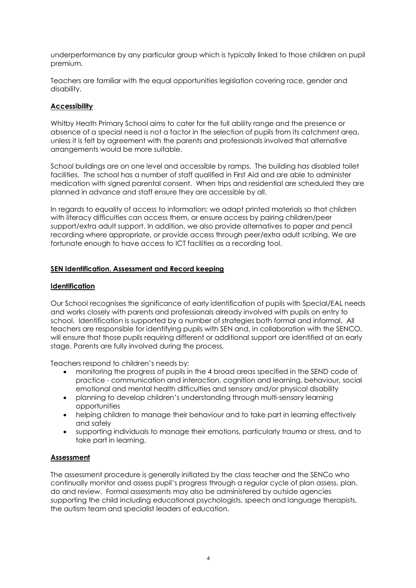underperformance by any particular group which is typically linked to those children on pupil premium.

Teachers are familiar with the equal opportunities legislation covering race, gender and disability.

#### **Accessibility**

Whitby Heath Primary School aims to cater for the full ability range and the presence or absence of a special need is not a factor in the selection of pupils from its catchment area, unless it is felt by agreement with the parents and professionals involved that alternative arrangements would be more suitable.

School buildings are on one level and accessible by ramps. The building has disabled toilet facilities. The school has a number of staff qualified in First Aid and are able to administer medication with signed parental consent. When trips and residential are scheduled they are planned in advance and staff ensure they are accessible by all.

In regards to equality of access to information; we adapt printed materials so that children with literacy difficulties can access them, or ensure access by pairing children/peer support/extra adult support. In addition, we also provide alternatives to paper and pencil recording where appropriate, or provide access through peer/extra adult scribing. We are fortunate enough to have access to ICT facilities as a recording tool.

#### **SEN Identification. Assessment and Record keeping**

#### **Identification**

Our School recognises the significance of early identification of pupils with Special/EAL needs and works closely with parents and professionals already involved with pupils on entry to school. Identification is supported by a number of strategies both formal and informal. All teachers are responsible for identifying pupils with SEN and, in collaboration with the SENCO, will ensure that those pupils requiring different or additional support are identified at an early stage. Parents are fully involved during the process.

Teachers respond to children's needs by:

- monitoring the progress of pupils in the 4 broad areas specified in the SEND code of practice - communication and interaction, cognition and learning, behaviour, social emotional and mental health difficulties and sensory and/or physical disability
- planning to develop children's understanding through multi-sensory learning opportunities
- helping children to manage their behaviour and to take part in learning effectively and safely
- supporting individuals to manage their emotions, particularly trauma or stress, and to take part in learning.

#### **Assessment**

The assessment procedure is generally initiated by the class teacher and the SENCo who continually monitor and assess pupil's progress through a regular cycle of plan assess, plan, do and review. Formal assessments may also be administered by outside agencies supporting the child including educational psychologists, speech and language therapists, the autism team and specialist leaders of education.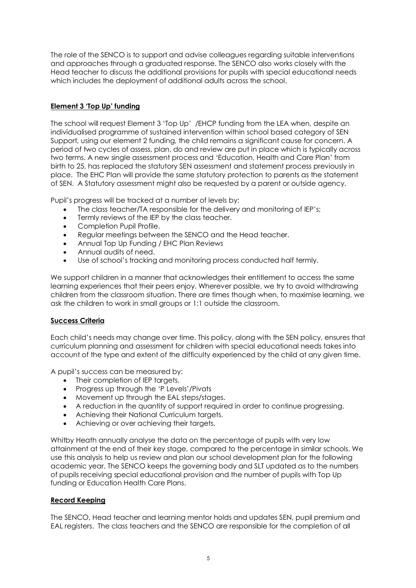The role of the SENCO is to support and advise colleagues regarding suitable interventions and approaches through a graduated response. The SENCO also works closely with the Head teacher to discuss the additional provisions for pupils with special educational needs which includes the deployment of additional adults across the school.

#### **Element 3 'Top Up' funding**

The school will request Element 3 'Top Up' /EHCP funding from the LEA when, despite an individualised programme of sustained intervention within school based category of SEN Support, using our element 2 funding, the child remains a significant cause for concern. A period of two cycles of assess, plan, do and review are put in place which is typically across two terms. A new single assessment process and 'Education, Health and Care Plan' from birth to 25, has replaced the statutory SEN assessment and statement process previously in place. The EHC Plan will provide the same statutory protection to parents as the statement of SEN. A Statutory assessment might also be requested by a parent or outside agency.

Pupil's progress will be tracked at a number of levels by:

- The class teacher/TA responsible for the delivery and monitoring of IEP's;
- Termly reviews of the IEP by the class teacher.
- Completion Pupil Profile.
- Regular meetings between the SENCO and the Head teacher.
- Annual Top Up Funding / EHC Plan Reviews
- Annual audits of need.
- Use of school's tracking and monitoring process conducted half termly.

We support children in a manner that acknowledges their entitlement to access the same learning experiences that their peers enjoy. Wherever possible, we try to avoid withdrawing children from the classroom situation. There are times though when, to maximise learning, we ask the children to work in small groups or 1:1 outside the classroom.

#### **Success Criteria**

Each child's needs may change over time. This policy, along with the SEN policy, ensures that curriculum planning and assessment for children with special educational needs takes into account of the type and extent of the difficulty experienced by the child at any given time.

A pupil's success can be measured by:

- Their completion of IEP targets.
- Progress up through the 'P Levels'/Pivats
- Movement up through the EAL steps/stages.
- A reduction in the quantity of support required in order to continue progressing.
- Achieving their National Curriculum targets.
- Achieving or over achieving their targets.

Whitby Heath annually analyse the data on the percentage of pupils with very low attainment at the end of their key stage, compared to the percentage in similar schools. We use this analysis to help us review and plan our school development plan for the following academic year. The SENCO keeps the governing body and SLT updated as to the numbers of pupils receiving special educational provision and the number of pupils with Top Up funding or Education Health Care Plans.

#### **Record Keeping**

The SENCO, Head teacher and learning mentor holds and updates SEN, pupil premium and EAL registers. The class teachers and the SENCO are responsible for the completion of all